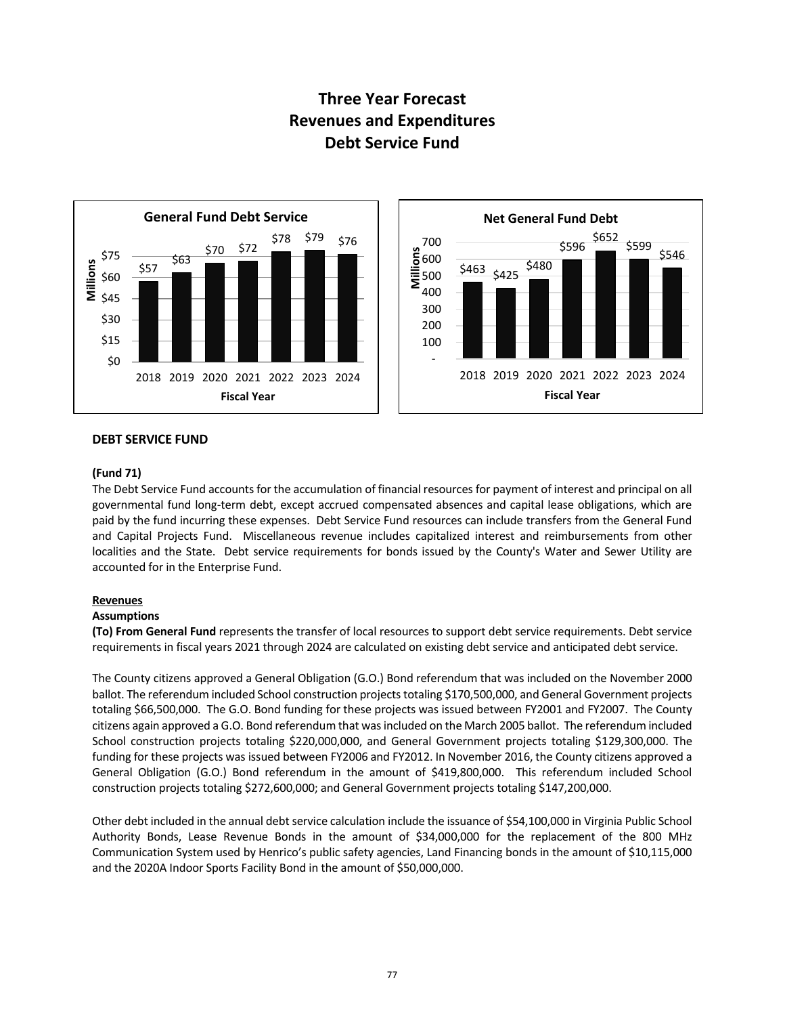# **Three Year Forecast Revenues and Expenditures Debt Service Fund**





#### **DEBT SERVICE FUND**

#### **(Fund 71)**

The Debt Service Fund accounts for the accumulation of financial resources for payment of interest and principal on all governmental fund long-term debt, except accrued compensated absences and capital lease obligations, which are paid by the fund incurring these expenses. Debt Service Fund resources can include transfers from the General Fund and Capital Projects Fund. Miscellaneous revenue includes capitalized interest and reimbursements from other localities and the State. Debt service requirements for bonds issued by the County's Water and Sewer Utility are accounted for in the Enterprise Fund.

#### **Revenues**

#### **Assumptions**

**(To) From General Fund** represents the transfer of local resources to support debt service requirements. Debt service requirements in fiscal years 2021 through 2024 are calculated on existing debt service and anticipated debt service.

The County citizens approved a General Obligation (G.O.) Bond referendum that was included on the November 2000 ballot. The referendum included School construction projects totaling \$170,500,000, and General Government projects totaling \$66,500,000. The G.O. Bond funding for these projects was issued between FY2001 and FY2007. The County citizens again approved a G.O. Bond referendum that was included on the March 2005 ballot. The referendum included School construction projects totaling \$220,000,000, and General Government projects totaling \$129,300,000. The funding for these projects was issued between FY2006 and FY2012. In November 2016, the County citizens approved a General Obligation (G.O.) Bond referendum in the amount of \$419,800,000. This referendum included School construction projects totaling \$272,600,000; and General Government projects totaling \$147,200,000.

Other debt included in the annual debt service calculation include the issuance of \$54,100,000 in Virginia Public School Authority Bonds, Lease Revenue Bonds in the amount of \$34,000,000 for the replacement of the 800 MHz Communication System used by Henrico's public safety agencies, Land Financing bonds in the amount of \$10,115,000 and the 2020A Indoor Sports Facility Bond in the amount of \$50,000,000.